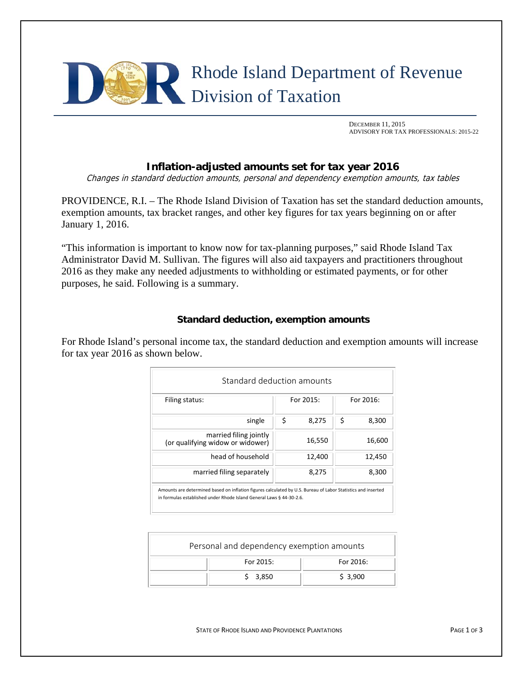

 DECEMBER 11, 2015 ADVISORY FOR TAX PROFESSIONALS: 2015-22

# **Inflation-adjusted amounts set for tax year 2016**

Changes in standard deduction amounts, personal and dependency exemption amounts, tax tables

PROVIDENCE, R.I. – The Rhode Island Division of Taxation has set the standard deduction amounts, exemption amounts, tax bracket ranges, and other key figures for tax years beginning on or after January 1, 2016.

"This information is important to know now for tax-planning purposes," said Rhode Island Tax Administrator David M. Sullivan. The figures will also aid taxpayers and practitioners throughout 2016 as they make any needed adjustments to withholding or estimated payments, or for other purposes, he said. Following is a summary.

## **Standard deduction, exemption amounts**

For Rhode Island's personal income tax, the standard deduction and exemption amounts will increase for tax year 2016 as shown below.

| Filing status:                                             | For 2015: |        | For 2016: |        |
|------------------------------------------------------------|-----------|--------|-----------|--------|
| single                                                     | \$        | 8,275  | \$        | 8,300  |
| married filing jointly<br>(or qualifying widow or widower) |           | 16,550 |           | 16,600 |
| head of household                                          |           | 12,400 |           | 12,450 |
| married filing separately                                  |           | 8,275  |           | 8,300  |

| Personal and dependency exemption amounts |              |  |  |  |  |  |
|-------------------------------------------|--------------|--|--|--|--|--|
| For 2015:                                 | For $2016$ : |  |  |  |  |  |
| \$3,850                                   | \$3,900      |  |  |  |  |  |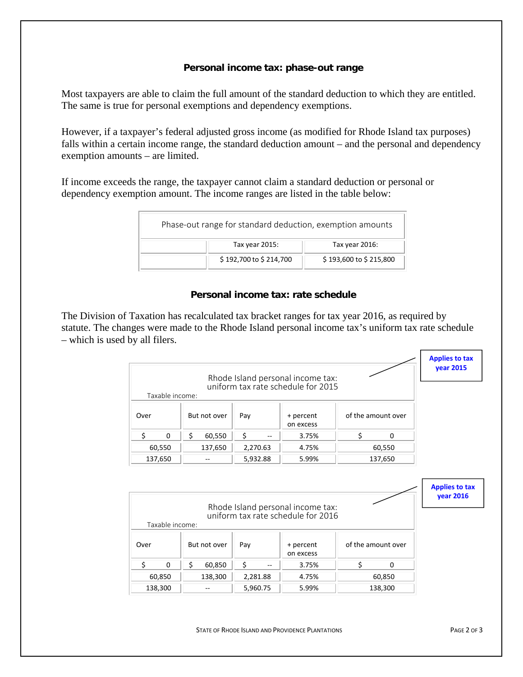#### **Personal income tax: phase-out range**

Most taxpayers are able to claim the full amount of the standard deduction to which they are entitled. The same is true for personal exemptions and dependency exemptions.

However, if a taxpayer's federal adjusted gross income (as modified for Rhode Island tax purposes) falls within a certain income range, the standard deduction amount – and the personal and dependency exemption amounts – are limited.

If income exceeds the range, the taxpayer cannot claim a standard deduction or personal or dependency exemption amount. The income ranges are listed in the table below:

| Phase-out range for standard deduction, exemption amounts |                        |                        |  |  |  |
|-----------------------------------------------------------|------------------------|------------------------|--|--|--|
|                                                           | Tax year 2015:         | Tax year 2016:         |  |  |  |
|                                                           | \$192,700 to \$214,700 | \$193,600 to \$215,800 |  |  |  |

## **Personal income tax: rate schedule**

The Division of Taxation has recalculated tax bracket ranges for tax year 2016, as required by statute. The changes were made to the Rhode Island personal income tax's uniform tax rate schedule – which is used by all filers.

|      |                 |              |                      |                                                                         |                    | <b>Applies to tax</b><br><b>year 2015</b> |
|------|-----------------|--------------|----------------------|-------------------------------------------------------------------------|--------------------|-------------------------------------------|
|      |                 |              |                      | Rhode Island personal income tax:                                       |                    |                                           |
|      | Taxable income: |              |                      | uniform tax rate schedule for 2015                                      |                    |                                           |
|      |                 |              |                      |                                                                         |                    |                                           |
| Over |                 | But not over | Pay                  | + percent<br>on excess                                                  | of the amount over |                                           |
| \$   | 0               | \$<br>60,550 | \$                   | 3.75%                                                                   | \$<br>$\Omega$     |                                           |
|      | 60,550          | 137,650      | 2,270.63             | 4.75%                                                                   | 60,550             |                                           |
|      | 137,650         | $- -$        | 5,932.88             | 5.99%                                                                   | 137,650            |                                           |
|      |                 |              |                      |                                                                         |                    |                                           |
|      |                 |              |                      | Rhode Island personal income tax:<br>uniform tax rate schedule for 2016 |                    | <b>Applies to tax</b><br><b>year 2016</b> |
|      | Taxable income: |              |                      |                                                                         |                    |                                           |
| Over |                 | But not over | Pay                  | + percent<br>on excess                                                  | of the amount over |                                           |
| \$   | 0               | \$<br>60,850 | \$<br>$\overline{a}$ | 3.75%                                                                   | \$<br>0            |                                           |
|      | 60,850          | 138,300      | 2,281.88             | 4.75%                                                                   | 60,850             |                                           |

STATE OF RHODE ISLAND AND PROVIDENCE PLANTATIONS **STATE OF RHODE ISLAND AND PROVIDENCE PLANTATIONS**